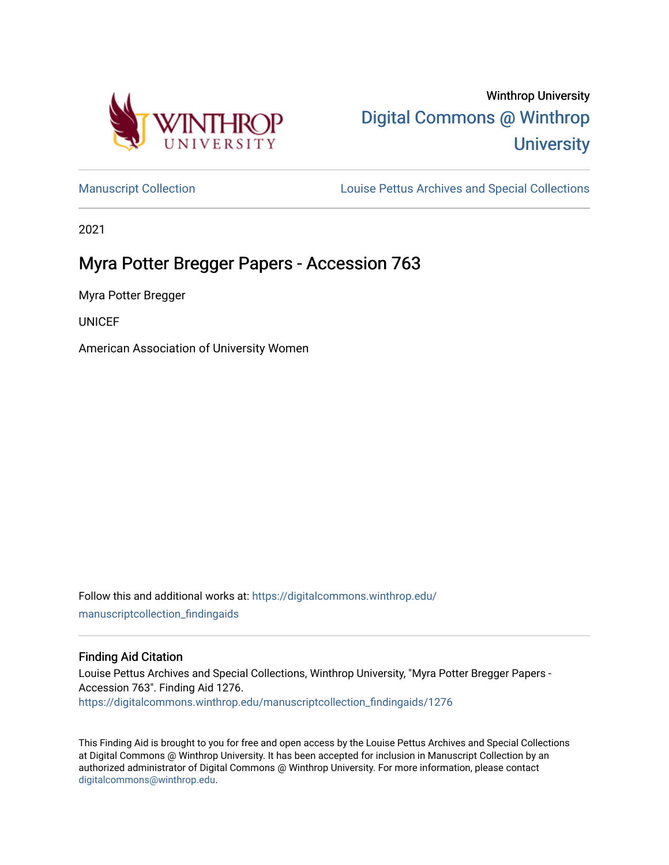

# Winthrop University [Digital Commons @ Winthrop](https://digitalcommons.winthrop.edu/)  **University**

[Manuscript Collection](https://digitalcommons.winthrop.edu/manuscriptcollection_findingaids) **Louise Pettus Archives and Special Collections** 

2021

## Myra Potter Bregger Papers - Accession 763

Myra Potter Bregger

**UNICEF** 

American Association of University Women

Follow this and additional works at: [https://digitalcommons.winthrop.edu/](https://digitalcommons.winthrop.edu/manuscriptcollection_findingaids?utm_source=digitalcommons.winthrop.edu%2Fmanuscriptcollection_findingaids%2F1276&utm_medium=PDF&utm_campaign=PDFCoverPages) [manuscriptcollection\\_findingaids](https://digitalcommons.winthrop.edu/manuscriptcollection_findingaids?utm_source=digitalcommons.winthrop.edu%2Fmanuscriptcollection_findingaids%2F1276&utm_medium=PDF&utm_campaign=PDFCoverPages) 

## Finding Aid Citation

Louise Pettus Archives and Special Collections, Winthrop University, "Myra Potter Bregger Papers - Accession 763". Finding Aid 1276. [https://digitalcommons.winthrop.edu/manuscriptcollection\\_findingaids/1276](https://digitalcommons.winthrop.edu/manuscriptcollection_findingaids/1276?utm_source=digitalcommons.winthrop.edu%2Fmanuscriptcollection_findingaids%2F1276&utm_medium=PDF&utm_campaign=PDFCoverPages) 

This Finding Aid is brought to you for free and open access by the Louise Pettus Archives and Special Collections at Digital Commons @ Winthrop University. It has been accepted for inclusion in Manuscript Collection by an authorized administrator of Digital Commons @ Winthrop University. For more information, please contact [digitalcommons@winthrop.edu](mailto:digitalcommons@winthrop.edu).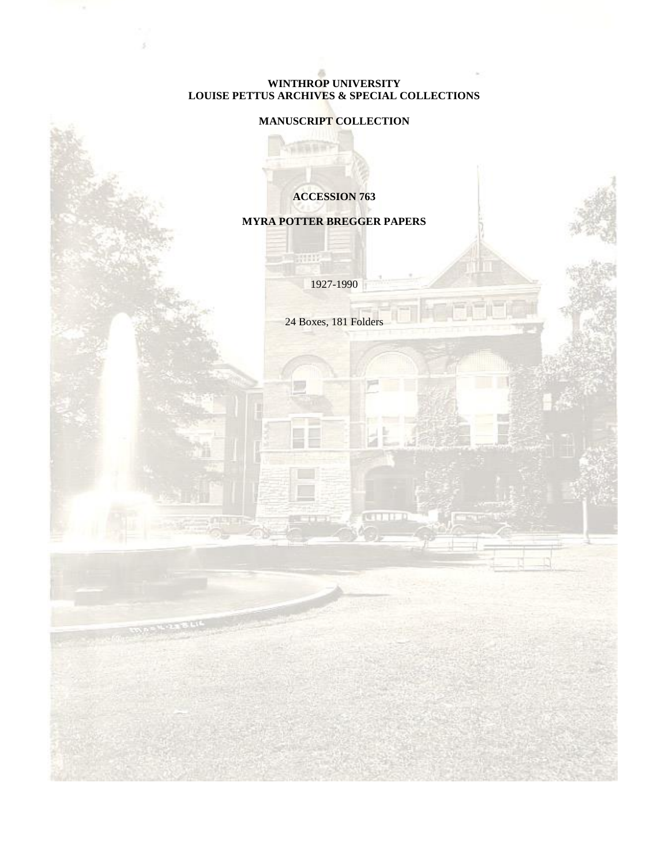#### **WINTHROP UNIVERSITY LOUISE PETTUS ARCHIVES & SPECIAL COLLECTIONS**

## **MANUSCRIPT COLLECTION**

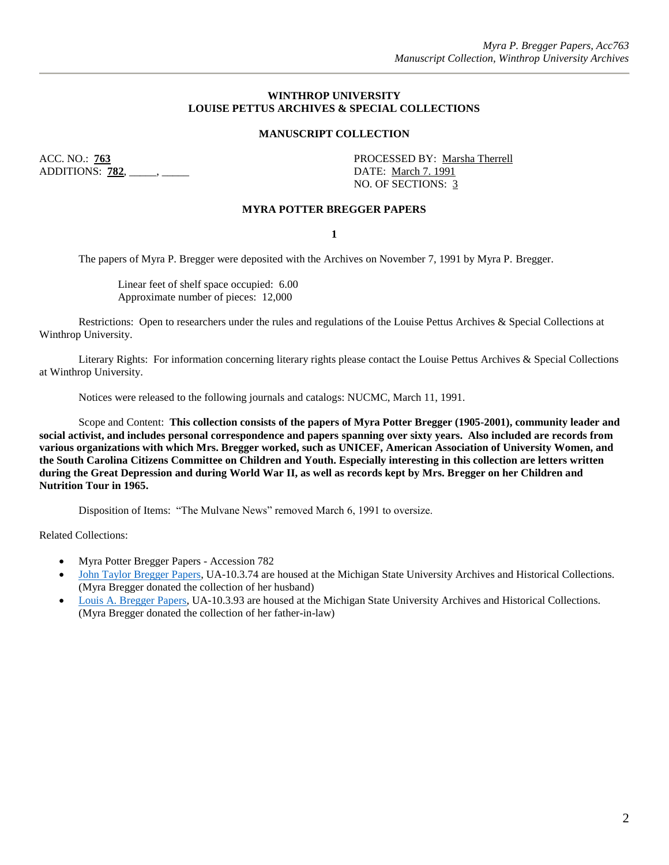#### **WINTHROP UNIVERSITY LOUISE PETTUS ARCHIVES & SPECIAL COLLECTIONS**

#### **MANUSCRIPT COLLECTION**

ADDITIONS: **782**, \_\_\_\_\_, \_\_\_\_\_ DATE: March 7. 1991

ACC. NO.: **763** PROCESSED BY: Marsha Therrell NO. OF SECTIONS: 3

#### **MYRA POTTER BREGGER PAPERS**

**1**

The papers of Myra P. Bregger were deposited with the Archives on November 7, 1991 by Myra P. Bregger.

Linear feet of shelf space occupied: 6.00 Approximate number of pieces: 12,000

Restrictions: Open to researchers under the rules and regulations of the Louise Pettus Archives & Special Collections at Winthrop University.

Literary Rights: For information concerning literary rights please contact the Louise Pettus Archives & Special Collections at Winthrop University.

Notices were released to the following journals and catalogs: NUCMC, March 11, 1991.

Scope and Content: **This collection consists of the papers of Myra Potter Bregger (1905-2001), community leader and social activist, and includes personal correspondence and papers spanning over sixty years. Also included are records from various organizations with which Mrs. Bregger worked, such as UNICEF, American Association of University Women, and the South Carolina Citizens Committee on Children and Youth. Especially interesting in this collection are letters written during the Great Depression and during World War II, as well as records kept by Mrs. Bregger on her Children and Nutrition Tour in 1965.**

Disposition of Items: "The Mulvane News" removed March 6, 1991 to oversize.

Related Collections:

- Myra Potter Bregger Papers Accession 782
- John [Taylor Bregger Papers,](https://findingaids.lib.msu.edu/repositories/2/resources/3) UA-10.3.74 are housed at the Michigan State University Archives and Historical Collections. (Myra Bregger donated the collection of her husband)
- [Louis A. Bregger Papers,](https://findingaids.lib.msu.edu/repositories/2/resources/1904) UA-10.3.93 are housed at the Michigan State University Archives and Historical Collections. (Myra Bregger donated the collection of her father-in-law)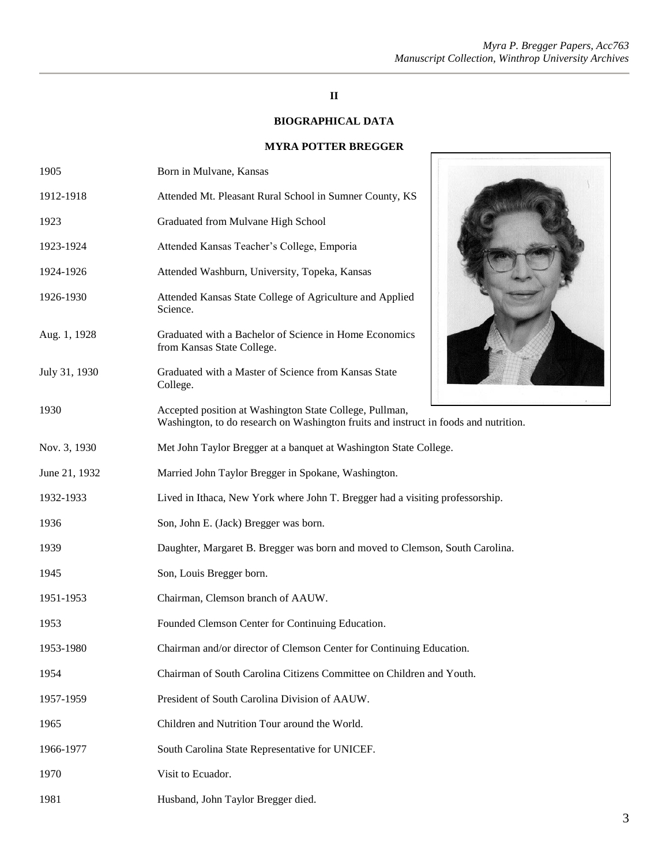## **II**

## **BIOGRAPHICAL DATA**

### **MYRA POTTER BREGGER**

Г

| 1905          | Born in Mulvane, Kansas                                                                                                                         |
|---------------|-------------------------------------------------------------------------------------------------------------------------------------------------|
| 1912-1918     | Attended Mt. Pleasant Rural School in Sumner County, KS                                                                                         |
| 1923          | Graduated from Mulvane High School                                                                                                              |
| 1923-1924     | Attended Kansas Teacher's College, Emporia                                                                                                      |
| 1924-1926     | Attended Washburn, University, Topeka, Kansas                                                                                                   |
| 1926-1930     | Attended Kansas State College of Agriculture and Applied<br>Science.                                                                            |
| Aug. 1, 1928  | Graduated with a Bachelor of Science in Home Economics<br>from Kansas State College.                                                            |
| July 31, 1930 | Graduated with a Master of Science from Kansas State<br>College.                                                                                |
| 1930          | Accepted position at Washington State College, Pullman,<br>Washington, to do research on Washington fruits and instruct in foods and nutrition. |
| Nov. 3, 1930  | Met John Taylor Bregger at a banquet at Washington State College.                                                                               |
| June 21, 1932 | Married John Taylor Bregger in Spokane, Washington.                                                                                             |
| 1932-1933     | Lived in Ithaca, New York where John T. Bregger had a visiting professorship.                                                                   |
| 1936          | Son, John E. (Jack) Bregger was born.                                                                                                           |
| 1939          | Daughter, Margaret B. Bregger was born and moved to Clemson, South Carolina.                                                                    |
| 1945          | Son, Louis Bregger born.                                                                                                                        |
| 1951-1953     | Chairman, Clemson branch of AAUW.                                                                                                               |
| 1953          | Founded Clemson Center for Continuing Education.                                                                                                |
| 1953-1980     | Chairman and/or director of Clemson Center for Continuing Education.                                                                            |
| 1954          | Chairman of South Carolina Citizens Committee on Children and Youth.                                                                            |
| 1957-1959     | President of South Carolina Division of AAUW.                                                                                                   |
| 1965          | Children and Nutrition Tour around the World.                                                                                                   |
| 1966-1977     | South Carolina State Representative for UNICEF.                                                                                                 |
| 1970          | Visit to Ecuador.                                                                                                                               |
| 1981          | Husband, John Taylor Bregger died.                                                                                                              |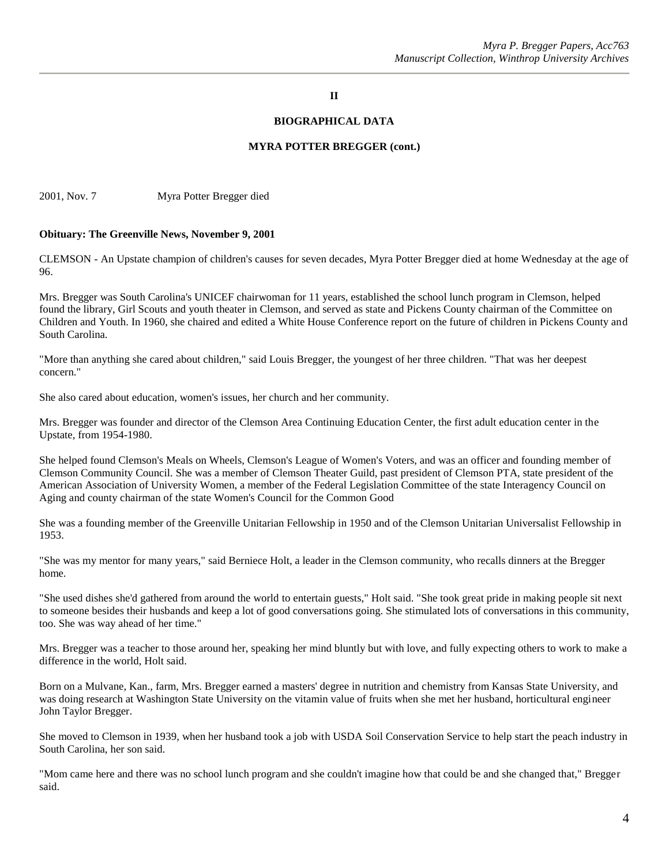#### **II**

#### **BIOGRAPHICAL DATA**

#### **MYRA POTTER BREGGER (cont.)**

2001, Nov. 7 Myra Potter Bregger died

#### **Obituary: The Greenville News, November 9, 2001**

CLEMSON - An Upstate champion of children's causes for seven decades, Myra Potter Bregger died at home Wednesday at the age of 96.

Mrs. Bregger was South Carolina's UNICEF chairwoman for 11 years, established the school lunch program in Clemson, helped found the library, Girl Scouts and youth theater in Clemson, and served as state and Pickens County chairman of the Committee on Children and Youth. In 1960, she chaired and edited a White House Conference report on the future of children in Pickens County and South Carolina.

"More than anything she cared about children," said Louis Bregger, the youngest of her three children. "That was her deepest concern."

She also cared about education, women's issues, her church and her community.

Mrs. Bregger was founder and director of the Clemson Area Continuing Education Center, the first adult education center in the Upstate, from 1954-1980.

She helped found Clemson's Meals on Wheels, Clemson's League of Women's Voters, and was an officer and founding member of Clemson Community Council. She was a member of Clemson Theater Guild, past president of Clemson PTA, state president of the American Association of University Women, a member of the Federal Legislation Committee of the state Interagency Council on Aging and county chairman of the state Women's Council for the Common Good

She was a founding member of the Greenville Unitarian Fellowship in 1950 and of the Clemson Unitarian Universalist Fellowship in 1953.

"She was my mentor for many years," said Berniece Holt, a leader in the Clemson community, who recalls dinners at the Bregger home.

"She used dishes she'd gathered from around the world to entertain guests," Holt said. "She took great pride in making people sit next to someone besides their husbands and keep a lot of good conversations going. She stimulated lots of conversations in this community, too. She was way ahead of her time."

Mrs. Bregger was a teacher to those around her, speaking her mind bluntly but with love, and fully expecting others to work to make a difference in the world, Holt said.

Born on a Mulvane, Kan., farm, Mrs. Bregger earned a masters' degree in nutrition and chemistry from Kansas State University, and was doing research at Washington State University on the vitamin value of fruits when she met her husband, horticultural engineer John Taylor Bregger.

She moved to Clemson in 1939, when her husband took a job with USDA Soil Conservation Service to help start the peach industry in South Carolina, her son said.

"Mom came here and there was no school lunch program and she couldn't imagine how that could be and she changed that," Bregger said.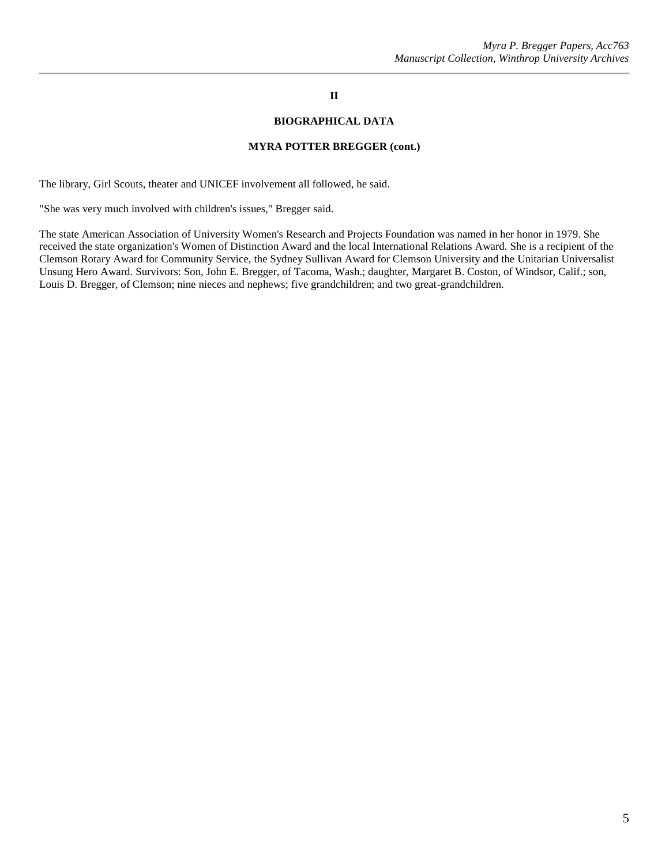## **II**

#### **BIOGRAPHICAL DATA**

#### **MYRA POTTER BREGGER (cont.)**

The library, Girl Scouts, theater and UNICEF involvement all followed, he said.

"She was very much involved with children's issues," Bregger said.

The state American Association of University Women's Research and Projects Foundation was named in her honor in 1979. She received the state organization's Women of Distinction Award and the local International Relations Award. She is a recipient of the Clemson Rotary Award for Community Service, the Sydney Sullivan Award for Clemson University and the Unitarian Universalist Unsung Hero Award. Survivors: Son, John E. Bregger, of Tacoma, Wash.; daughter, Margaret B. Coston, of Windsor, Calif.; son, Louis D. Bregger, of Clemson; nine nieces and nephews; five grandchildren; and two great-grandchildren.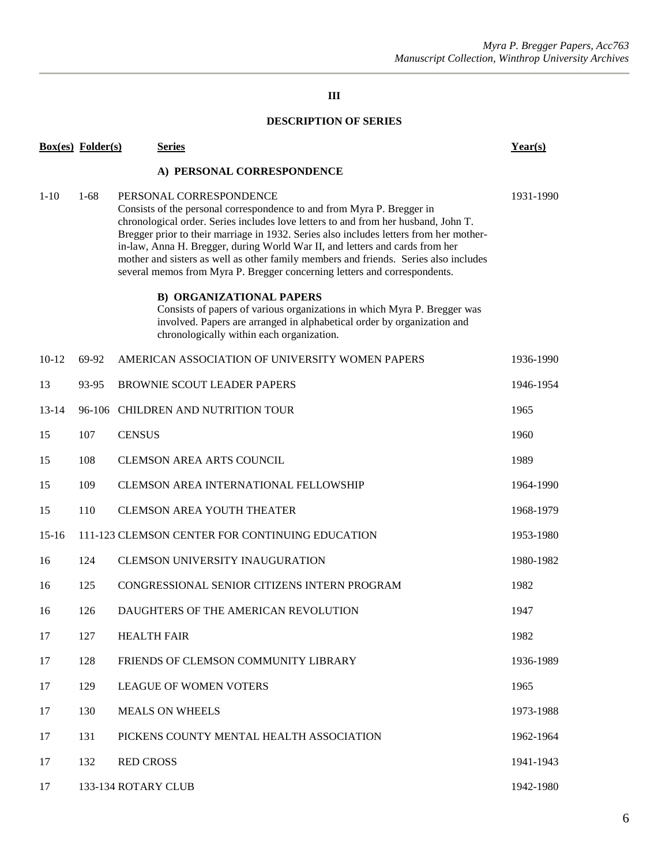## **III**

## **DESCRIPTION OF SERIES**

|                            | <b>Box(es)</b> Folder(s) | <b>Series</b>                                                                                                                                                                                                                                                                                                                                                                                                                                                                                                                          | Year(s)   |  |  |  |
|----------------------------|--------------------------|----------------------------------------------------------------------------------------------------------------------------------------------------------------------------------------------------------------------------------------------------------------------------------------------------------------------------------------------------------------------------------------------------------------------------------------------------------------------------------------------------------------------------------------|-----------|--|--|--|
| A) PERSONAL CORRESPONDENCE |                          |                                                                                                                                                                                                                                                                                                                                                                                                                                                                                                                                        |           |  |  |  |
| $1 - 10$                   | $1-68$                   | PERSONAL CORRESPONDENCE<br>Consists of the personal correspondence to and from Myra P. Bregger in<br>chronological order. Series includes love letters to and from her husband, John T.<br>Bregger prior to their marriage in 1932. Series also includes letters from her mother-<br>in-law, Anna H. Bregger, during World War II, and letters and cards from her<br>mother and sisters as well as other family members and friends. Series also includes<br>several memos from Myra P. Bregger concerning letters and correspondents. | 1931-1990 |  |  |  |
|                            |                          | <b>B) ORGANIZATIONAL PAPERS</b><br>Consists of papers of various organizations in which Myra P. Bregger was<br>involved. Papers are arranged in alphabetical order by organization and<br>chronologically within each organization.                                                                                                                                                                                                                                                                                                    |           |  |  |  |
| $10-12$                    | 69-92                    | AMERICAN ASSOCIATION OF UNIVERSITY WOMEN PAPERS                                                                                                                                                                                                                                                                                                                                                                                                                                                                                        | 1936-1990 |  |  |  |
| 13                         | 93-95                    | <b>BROWNIE SCOUT LEADER PAPERS</b>                                                                                                                                                                                                                                                                                                                                                                                                                                                                                                     | 1946-1954 |  |  |  |
| $13 - 14$                  |                          | 96-106 CHILDREN AND NUTRITION TOUR                                                                                                                                                                                                                                                                                                                                                                                                                                                                                                     | 1965      |  |  |  |
| 15                         | 107                      | <b>CENSUS</b>                                                                                                                                                                                                                                                                                                                                                                                                                                                                                                                          | 1960      |  |  |  |
| 15                         | 108                      | <b>CLEMSON AREA ARTS COUNCIL</b>                                                                                                                                                                                                                                                                                                                                                                                                                                                                                                       | 1989      |  |  |  |
| 15                         | 109                      | <b>CLEMSON AREA INTERNATIONAL FELLOWSHIP</b>                                                                                                                                                                                                                                                                                                                                                                                                                                                                                           | 1964-1990 |  |  |  |
| 15                         | 110                      | <b>CLEMSON AREA YOUTH THEATER</b>                                                                                                                                                                                                                                                                                                                                                                                                                                                                                                      | 1968-1979 |  |  |  |
| $15-16$                    |                          | 111-123 CLEMSON CENTER FOR CONTINUING EDUCATION                                                                                                                                                                                                                                                                                                                                                                                                                                                                                        | 1953-1980 |  |  |  |
| 16                         | 124                      | <b>CLEMSON UNIVERSITY INAUGURATION</b>                                                                                                                                                                                                                                                                                                                                                                                                                                                                                                 | 1980-1982 |  |  |  |
| 16                         | 125                      | CONGRESSIONAL SENIOR CITIZENS INTERN PROGRAM                                                                                                                                                                                                                                                                                                                                                                                                                                                                                           | 1982      |  |  |  |
| 16                         | 126                      | DAUGHTERS OF THE AMERICAN REVOLUTION                                                                                                                                                                                                                                                                                                                                                                                                                                                                                                   | 1947      |  |  |  |
| 17                         | 127                      | <b>HEALTH FAIR</b>                                                                                                                                                                                                                                                                                                                                                                                                                                                                                                                     | 1982      |  |  |  |
| 17                         | 128                      | FRIENDS OF CLEMSON COMMUNITY LIBRARY                                                                                                                                                                                                                                                                                                                                                                                                                                                                                                   | 1936-1989 |  |  |  |
| 17                         | 129                      | LEAGUE OF WOMEN VOTERS                                                                                                                                                                                                                                                                                                                                                                                                                                                                                                                 | 1965      |  |  |  |
| 17                         | 130                      | <b>MEALS ON WHEELS</b>                                                                                                                                                                                                                                                                                                                                                                                                                                                                                                                 | 1973-1988 |  |  |  |
| 17                         | 131                      | PICKENS COUNTY MENTAL HEALTH ASSOCIATION                                                                                                                                                                                                                                                                                                                                                                                                                                                                                               | 1962-1964 |  |  |  |
| 17                         | 132                      | <b>RED CROSS</b>                                                                                                                                                                                                                                                                                                                                                                                                                                                                                                                       | 1941-1943 |  |  |  |
| 17                         |                          | 133-134 ROTARY CLUB                                                                                                                                                                                                                                                                                                                                                                                                                                                                                                                    | 1942-1980 |  |  |  |